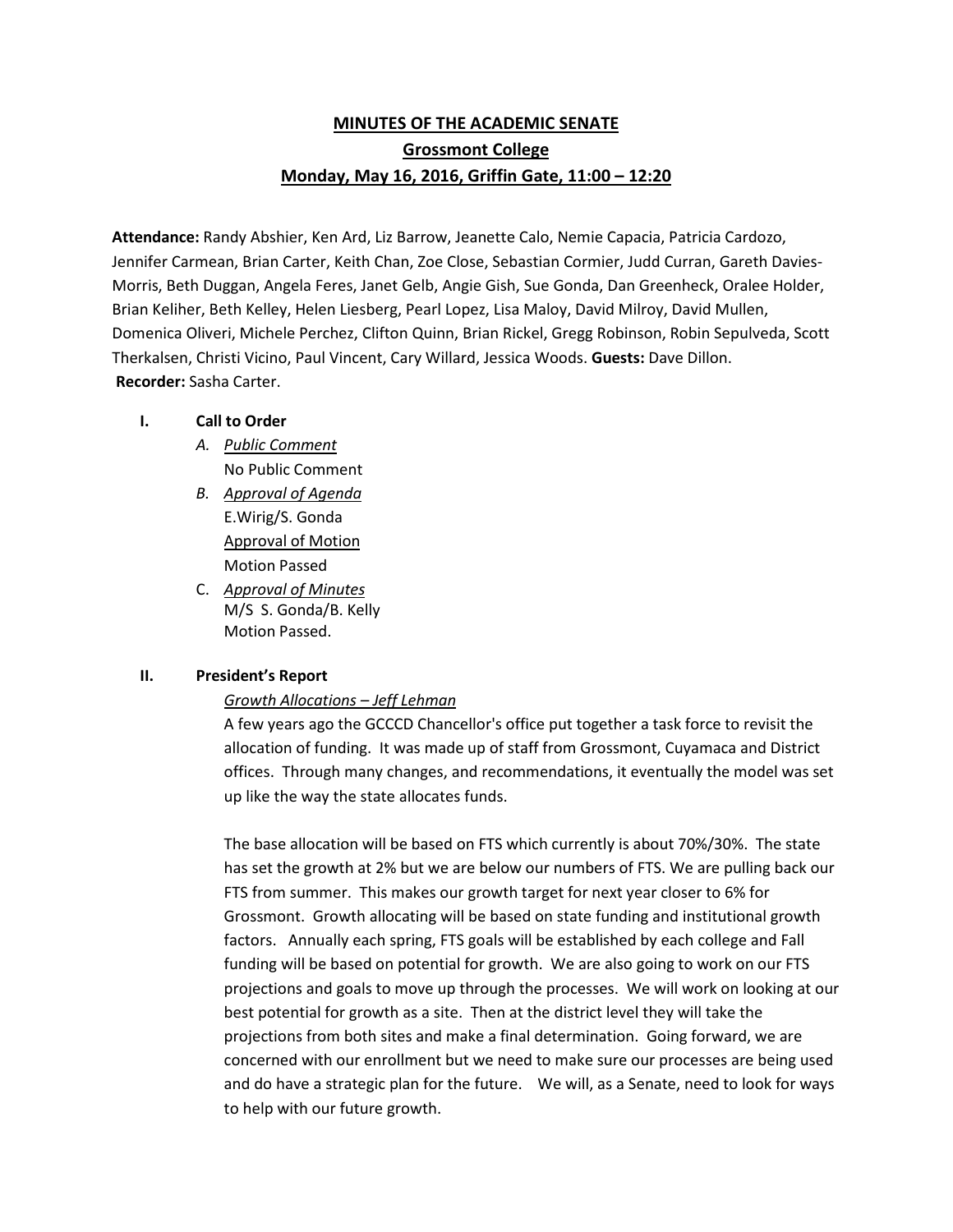# **MINUTES OF THE ACADEMIC SENATE Grossmont College Monday, May 16, 2016, Griffin Gate, 11:00 – 12:20**

**Attendance:** Randy Abshier, Ken Ard, Liz Barrow, Jeanette Calo, Nemie Capacia, Patricia Cardozo, Jennifer Carmean, Brian Carter, Keith Chan, Zoe Close, Sebastian Cormier, Judd Curran, Gareth Davies-Morris, Beth Duggan, Angela Feres, Janet Gelb, Angie Gish, Sue Gonda, Dan Greenheck, Oralee Holder, Brian Keliher, Beth Kelley, Helen Liesberg, Pearl Lopez, Lisa Maloy, David Milroy, David Mullen, Domenica Oliveri, Michele Perchez, Clifton Quinn, Brian Rickel, Gregg Robinson, Robin Sepulveda, Scott Therkalsen, Christi Vicino, Paul Vincent, Cary Willard, Jessica Woods. **Guests:** Dave Dillon. **Recorder:** Sasha Carter.

#### **I. Call to Order**

- *A. Public Comment*  No Public Comment
- *B. Approval of Agenda* E.Wirig/S. Gonda Approval of Motion Motion Passed
- C. *Approval of Minutes* M/S S. Gonda/B. Kelly Motion Passed.

## **II. President's Report**

### *Growth Allocations – Jeff Lehman*

A few years ago the GCCCD Chancellor's office put together a task force to revisit the allocation of funding. It was made up of staff from Grossmont, Cuyamaca and District offices. Through many changes, and recommendations, it eventually the model was set up like the way the state allocates funds.

The base allocation will be based on FTS which currently is about 70%/30%. The state has set the growth at 2% but we are below our numbers of FTS. We are pulling back our FTS from summer. This makes our growth target for next year closer to 6% for Grossmont. Growth allocating will be based on state funding and institutional growth factors. Annually each spring, FTS goals will be established by each college and Fall funding will be based on potential for growth. We are also going to work on our FTS projections and goals to move up through the processes. We will work on looking at our best potential for growth as a site. Then at the district level they will take the projections from both sites and make a final determination. Going forward, we are concerned with our enrollment but we need to make sure our processes are being used and do have a strategic plan for the future. We will, as a Senate, need to look for ways to help with our future growth.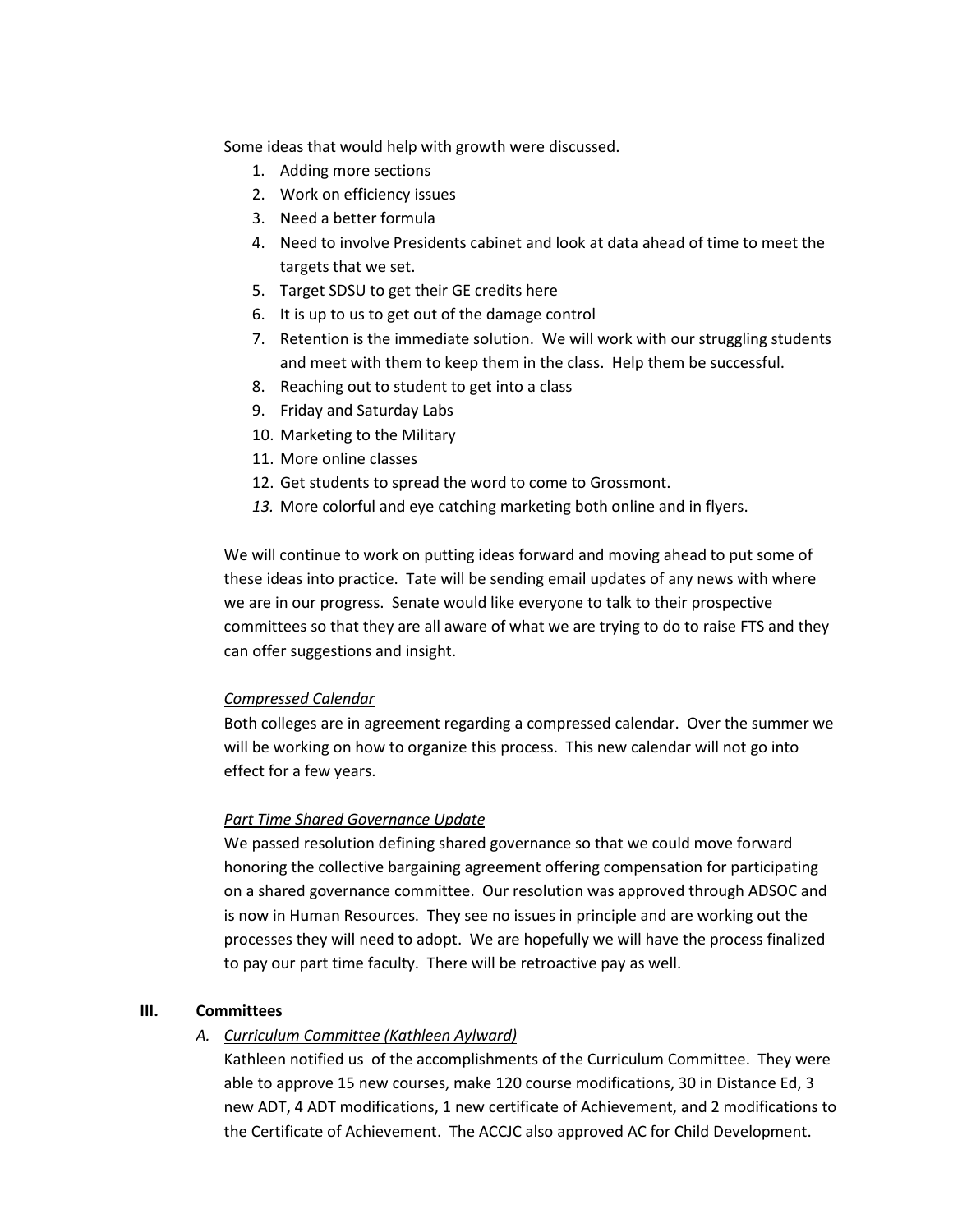Some ideas that would help with growth were discussed.

- 1. Adding more sections
- 2. Work on efficiency issues
- 3. Need a better formula
- 4. Need to involve Presidents cabinet and look at data ahead of time to meet the targets that we set.
- 5. Target SDSU to get their GE credits here
- 6. It is up to us to get out of the damage control
- 7. Retention is the immediate solution. We will work with our struggling students and meet with them to keep them in the class. Help them be successful.
- 8. Reaching out to student to get into a class
- 9. Friday and Saturday Labs
- 10. Marketing to the Military
- 11. More online classes
- 12. Get students to spread the word to come to Grossmont.
- *13.* More colorful and eye catching marketing both online and in flyers.

We will continue to work on putting ideas forward and moving ahead to put some of these ideas into practice. Tate will be sending email updates of any news with where we are in our progress. Senate would like everyone to talk to their prospective committees so that they are all aware of what we are trying to do to raise FTS and they can offer suggestions and insight.

### *Compressed Calendar*

Both colleges are in agreement regarding a compressed calendar. Over the summer we will be working on how to organize this process. This new calendar will not go into effect for a few years.

### *Part Time Shared Governance Update*

We passed resolution defining shared governance so that we could move forward honoring the collective bargaining agreement offering compensation for participating on a shared governance committee. Our resolution was approved through ADSOC and is now in Human Resources. They see no issues in principle and are working out the processes they will need to adopt. We are hopefully we will have the process finalized to pay our part time faculty. There will be retroactive pay as well.

### **III. Committees**

*A. Curriculum Committee (Kathleen Aylward)*

Kathleen notified us of the accomplishments of the Curriculum Committee. They were able to approve 15 new courses, make 120 course modifications, 30 in Distance Ed, 3 new ADT, 4 ADT modifications, 1 new certificate of Achievement, and 2 modifications to the Certificate of Achievement. The ACCJC also approved AC for Child Development.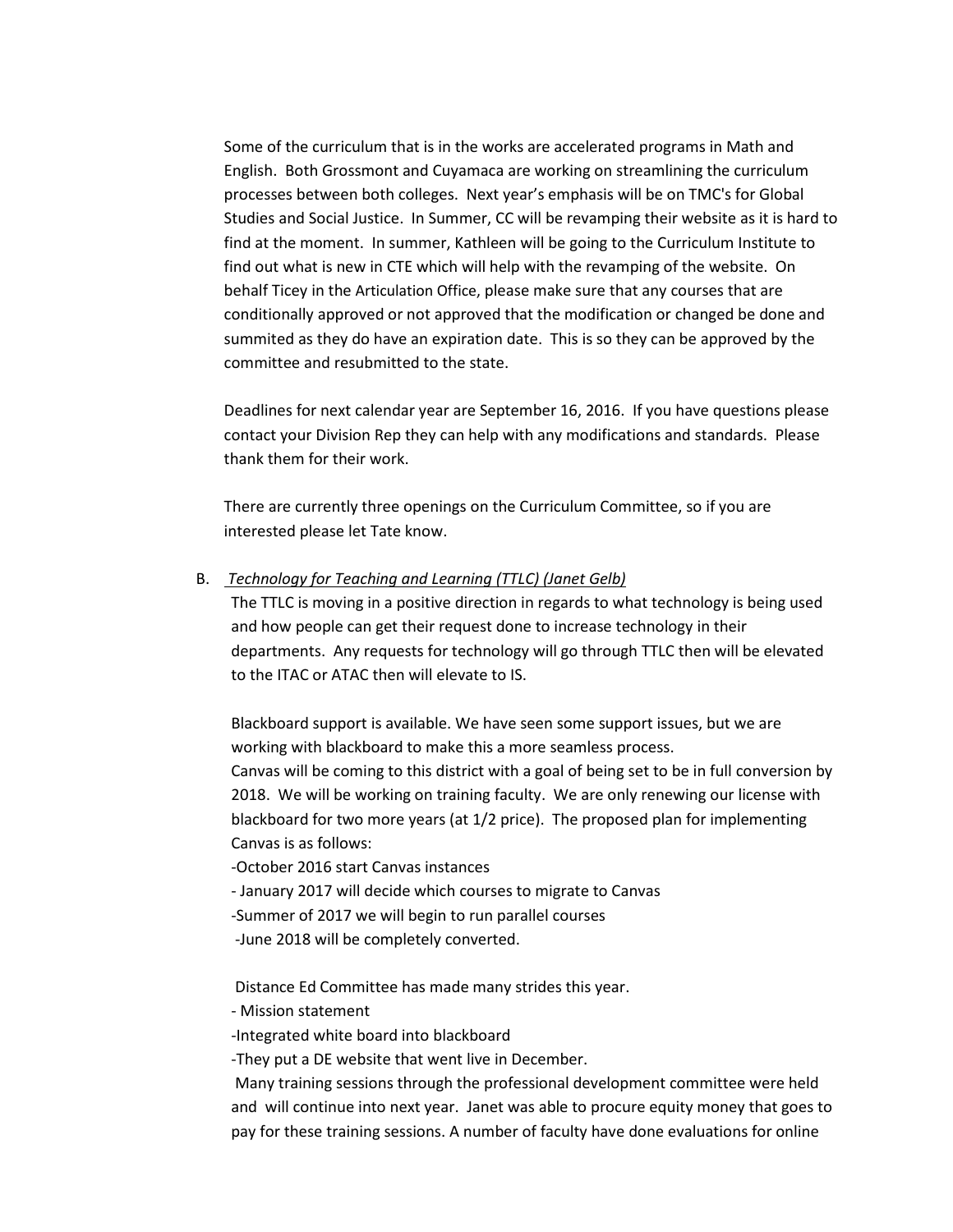Some of the curriculum that is in the works are accelerated programs in Math and English. Both Grossmont and Cuyamaca are working on streamlining the curriculum processes between both colleges. Next year's emphasis will be on TMC's for Global Studies and Social Justice. In Summer, CC will be revamping their website as it is hard to find at the moment. In summer, Kathleen will be going to the Curriculum Institute to find out what is new in CTE which will help with the revamping of the website. On behalf Ticey in the Articulation Office, please make sure that any courses that are conditionally approved or not approved that the modification or changed be done and summited as they do have an expiration date. This is so they can be approved by the committee and resubmitted to the state.

Deadlines for next calendar year are September 16, 2016. If you have questions please contact your Division Rep they can help with any modifications and standards. Please thank them for their work.

There are currently three openings on the Curriculum Committee, so if you are interested please let Tate know.

B. *Technology for Teaching and Learning (TTLC) (Janet Gelb)*

The TTLC is moving in a positive direction in regards to what technology is being used and how people can get their request done to increase technology in their departments. Any requests for technology will go through TTLC then will be elevated to the ITAC or ATAC then will elevate to IS.

Blackboard support is available. We have seen some support issues, but we are working with blackboard to make this a more seamless process. Canvas will be coming to this district with a goal of being set to be in full conversion by 2018. We will be working on training faculty. We are only renewing our license with blackboard for two more years (at 1/2 price). The proposed plan for implementing Canvas is as follows:

-October 2016 start Canvas instances

- January 2017 will decide which courses to migrate to Canvas
- -Summer of 2017 we will begin to run parallel courses
- -June 2018 will be completely converted.

Distance Ed Committee has made many strides this year.

- Mission statement
- -Integrated white board into blackboard

-They put a DE website that went live in December.

Many training sessions through the professional development committee were held and will continue into next year. Janet was able to procure equity money that goes to pay for these training sessions. A number of faculty have done evaluations for online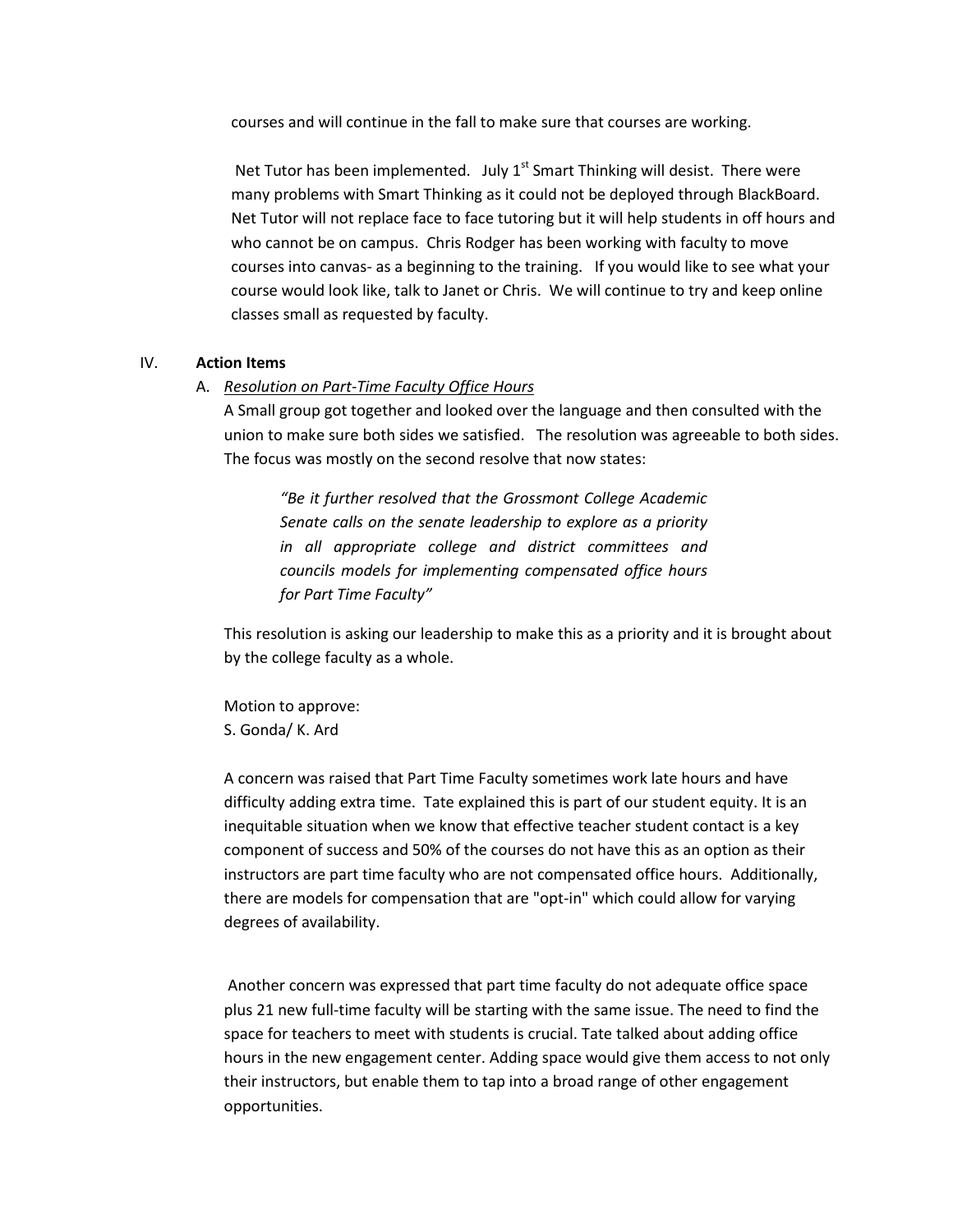courses and will continue in the fall to make sure that courses are working.

Net Tutor has been implemented. July  $1<sup>st</sup>$  Smart Thinking will desist. There were many problems with Smart Thinking as it could not be deployed through BlackBoard. Net Tutor will not replace face to face tutoring but it will help students in off hours and who cannot be on campus. Chris Rodger has been working with faculty to move courses into canvas- as a beginning to the training. If you would like to see what your course would look like, talk to Janet or Chris. We will continue to try and keep online classes small as requested by faculty.

#### IV. **Action Items**

#### A. *Resolution on Part-Time Faculty Office Hours*

A Small group got together and looked over the language and then consulted with the union to make sure both sides we satisfied. The resolution was agreeable to both sides. The focus was mostly on the second resolve that now states:

*"Be it further resolved that the Grossmont College Academic Senate calls on the senate leadership to explore as a priority in all appropriate college and district committees and councils models for implementing compensated office hours for Part Time Faculty"*

This resolution is asking our leadership to make this as a priority and it is brought about by the college faculty as a whole.

Motion to approve: S. Gonda/ K. Ard

A concern was raised that Part Time Faculty sometimes work late hours and have difficulty adding extra time. Tate explained this is part of our student equity. It is an inequitable situation when we know that effective teacher student contact is a key component of success and 50% of the courses do not have this as an option as their instructors are part time faculty who are not compensated office hours. Additionally, there are models for compensation that are "opt-in" which could allow for varying degrees of availability.

Another concern was expressed that part time faculty do not adequate office space plus 21 new full-time faculty will be starting with the same issue. The need to find the space for teachers to meet with students is crucial. Tate talked about adding office hours in the new engagement center. Adding space would give them access to not only their instructors, but enable them to tap into a broad range of other engagement opportunities.